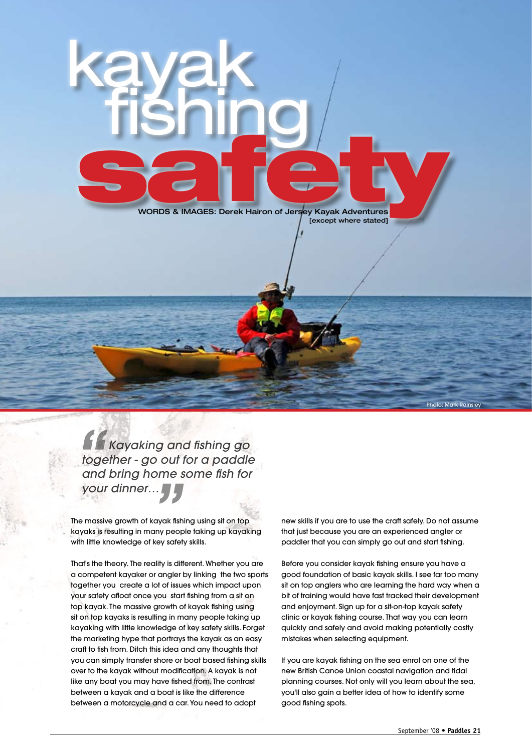

 *Kayaking and fishing go together - go out for a paddle and bring home some fish for*  **1**<br>*togs*<br>and<br>you

kayak

**fishing** 

**your dinner…"**<br> **your dinner…"**<br>
<br>
provided in many people in the knowledge of key safe The massive growth of kayak fishing using sit on top kayaks is resulting in many people taking up kayaking with little knowledge of key safety skills.

That's the theory. The reality is different. Whether you are a competent kayaker or angler by linking the two sports together you create a lot of issues which impact upon your safety afloat once you start fishing from a sit on top kayak. The massive growth of kayak fishing using sit on top kayaks is resulting in many people taking up kayaking with little knowledge of key safety skills. Forget the marketing hype that portrays the kayak as an easy craft to fish from. Ditch this idea and any thoughts that you can simply transfer shore or boat based fishing skills over to the kayak without modification. A kayak is not like any boat you may have fished from. The contrast between a kayak and a boat is like the difference between a motorcycle and a car. You need to adopt

new skills if you are to use the craft safely. Do not assume that just because you are an experienced angler or paddler that you can simply go out and start fishing.

Before you consider kayak fishing ensure you have a good foundation of basic kayak skills. I see far too many sit on top anglers who are learning the hard way when a bit of training would have fast tracked their development and enjoyment. Sign up for a sit-on-top kayak safety clinic or kayak fishing course. That way you can learn quickly and safely and avoid making potentially costly mistakes when selecting equipment.

If you are kayak fishing on the sea enrol on one of the new British Canoe Union coastal navigation and tidal planning courses. Not only will you learn about the sea, you'll also gain a better idea of how to identify some good fishing spots.

Photo: Mark Rainsley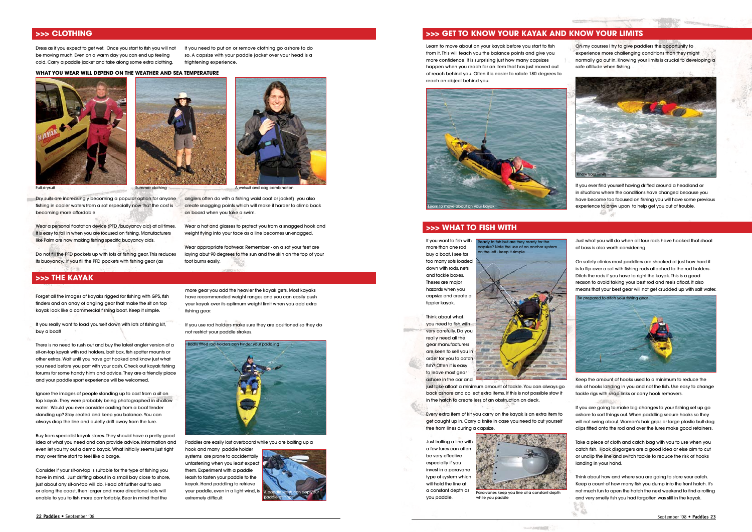Dry suits are increasingly becoming a popular option for anyone fishing in cooler waters from a sot especially now that the cost is becoming more affordable.

Wear a personal floatation device (PFD /buoyancy aid) at all times. It is easy to fall in when you are focused on fishing. Manufacturers like Palm are now making fishing specific buoyancy aids.

Wear a hat and glasses to protect you from a snagged hook and weight flying into your face as a line becomes un-snagged.

Do not fill the PFD pockets up with lots of fishing gear. This reduces its buoyancy. If you fill the PFD pockets with fishing gear (as

anglers often do with a fishing waist coat or jacket) you also create snagging points which will make it harder to climb back

on board when you take a swim.

Summer clothing **A** wetsuit and cag combination

Wear appropriate footwear. Remember - on a sot your feet are laying abut 90 degrees to the sun and the skin on the top of your

foot burns easily.

Dress as if you expect to get wet. Once you start to fish you will not be moving much. Even on a warm day you can end up feeling cold. Carry a paddle jacket and take along some extra clothing.

If you need to put on or remove clothing go ashore to do so. A capsize with your paddle jacket over your head is a frightening experience.

# **>>> CLOTHING**

# **>>> The kayak**

### **What you wear will depend on the weather and sea temperature**



Forget all the images of kayaks rigged for fishing with GPS, fish finders and an array of angling gear that make the sit on top kayak look like a commercial fishing boat. Keep it simple.

If you really want to load yourself down with lots of fishing kit, buy a boat!

There is no need to rush out and buy the latest angler version of a sit-on-top kayak with rod holders, bait box, fish spotter mounts or other extras. Wait until you have got hooked and know just what you need before you part with your cash. Check out kayak fishing forums for some handy hints and advice. They are a friendly place and your paddle sport experience will be welcomed.

On my courses I try to give paddlers the opportunity to experience more challenging conditions than they might normally go out in. Knowing your limits is crucial to developing a safe attitude when fishing.

If you ever find yourself having drifted around a headland or in situations where the conditions have changed because you have become too focused on fishing you will have some previous experience to draw upon to help get you out of trouble. Edir.

Ignore the images of people standing up to cast from a sit on top kayak. They were probably being photographed in shallow water. Would you ever consider casting from a boat tender standing up? Stay seated and keep you balance. You can always drop the line and quietly drift away from the lure.

Buy from specialist kayak stores. They should have a pretty good idea of what you need and can provide advice, information and even let you try out a demo kayak. What initially seems just right may over time start to feel like a barge.

Consider if your sit-on-top is suitable for the type of fishing you have in mind. Just drifting about in a small bay close to shore, just about any sit-on-top will do. Head off further out to sea or along the coast, then larger and more directional sots will enable to you to fish more comfortably. Bear in mind that the

Paddles are easily lost overboard while you are baiting up a

Think about what you need to fish with very carefully. Do you really need all the gear manufacturers are keen to sell you in order for you to catch fish? Often it is easy to leave most gear ashore in the car and

eady to fish but are they ready for the apsize? Note the use of an anchor system

n the left - keep it simple

hook and many paddle holder systems are prone to accidentally unfastening when you least expect them. Experiment with a paddle leash to fasten your paddle to the kayak. Hand paddling to retrieve your paddle, even in a light wind, is extremely difficult.

Every extra item of kit you carry on the kayak is an extra item to get caught up in. Carry a knife in case you need to cut yourself free from lines during a capsize

more gear you add the heavier the kayak gets. Most kayaks have recommended weight ranges and you can easily push your kayak over its optimum weight limit when you add extra fishing gear.

If you use rod holders make sure they are positioned so they do not restrict your paddle strokes.





**>>> Get to know your kayak and Know your limits**

Learn to move about on your kayak before you start to fish from it. This will teach you the balance points and give you more confidence. It is surprising just how many capsizes happen when you reach for an item that has just moved out of reach behind you. Often it is easier to rotate 180 degrees to reach an object behind you.





## **>>> What to fish with**

Just what you will do when all four rods have hooked that shoal of bass is also worth considering.

On safety clinics most paddlers are shocked at just how hard it is to flip over a sot with fishing rods attached to the rod holders. Ditch the rods if you have to right the kayak. This is a good reason to avoid taking your best rod and reels afloat. It also means that your best gear will not get crudded up with salt water.

Keep the amount of hooks used to a minimum to reduce the risk of hooks landing in you and not the fish. Use easy to change tackle rigs with snap links or carry hook removers.

OPSIERS

43

If you are going to make big changes to your fishing set up go ashore to sort things out. When paddling secure hooks so they will not swing about. Woman's hair grips or large plastic bull-dog clips fitted onto the rod and over the lures make good retainers.

Take a piece of cloth and catch bag with you to use when you catch fish. Hook disgorgers are a good idea or else aim to cut or unclip the line and switch tackle to reduce the risk of hooks landing in your hand.

Think about how and where you are going to store your catch. Keep a count of how many fish you dump into the front hatch. It's not much fun to open the hatch the next weekend to find a rotting and very smelly fish you had forgotten was still in the kayak.

If you want to fish with more than one rod buy a boat. I see far too many sots loaded down with rods, nets and tackle boxes. Theses are major hazards when you capsize and create a tippier kayak.

just take afloat a minimum amount of tackle. You can always go back ashore and collect extra items. If this is not possible stow it in the hatch to create less of an obstruction on deck.

Just trolling a line with a few lures can often be very effective especially if you invest in a paravane type of system which will hold the line at a constant depth as you paddle.



while you paddle

- Fourmant